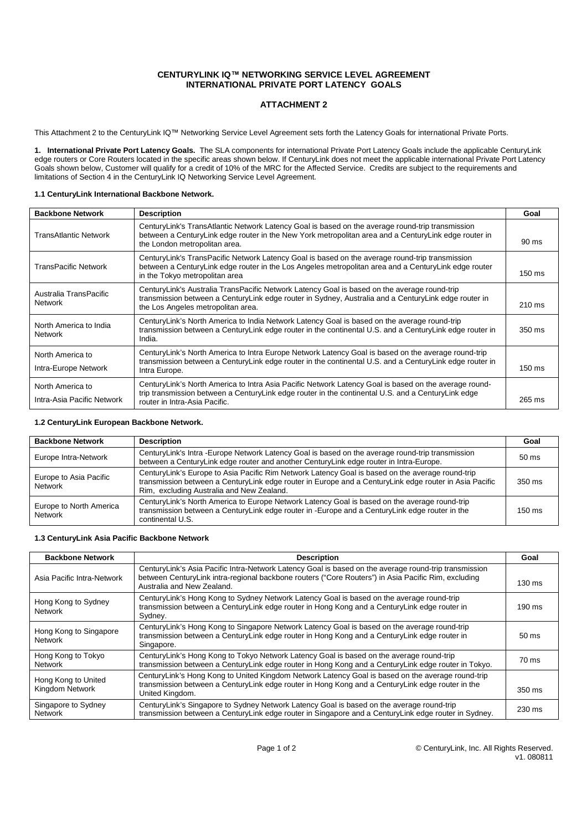### **CENTURYLINK IQ™ NETWORKING SERVICE LEVEL AGREEMENT INTERNATIONAL PRIVATE PORT LATENCY GOALS**

## **ATTACHMENT 2**

This Attachment 2 to the CenturyLink IQ™ Networking Service Level Agreement sets forth the Latency Goals for international Private Ports.

**1. International Private Port Latency Goals.** The SLA components for international Private Port Latency Goals include the applicable CenturyLink edge routers or Core Routers located in the specific areas shown below. If CenturyLink does not meet the applicable international Private Port Latency Goals shown below, Customer will qualify for a credit of 10% of the MRC for the Affected Service. Credits are subject to the requirements and limitations of Section 4 in the CenturyLink IQ Networking Service Level Agreement.

#### **1.1 CenturyLink International Backbone Network.**

| <b>Backbone Network</b>                        | <b>Description</b>                                                                                                                                                                                                                           | Goal             |
|------------------------------------------------|----------------------------------------------------------------------------------------------------------------------------------------------------------------------------------------------------------------------------------------------|------------------|
| <b>TransAtlantic Network</b>                   | CenturyLink's TransAtlantic Network Latency Goal is based on the average round-trip transmission<br>between a CenturyLink edge router in the New York metropolitan area and a CenturyLink edge router in<br>the London metropolitan area.    | $90 \text{ ms}$  |
| TransPacific Network                           | CenturyLink's TransPacific Network Latency Goal is based on the average round-trip transmission<br>between a CenturyLink edge router in the Los Angeles metropolitan area and a CenturyLink edge router<br>in the Tokyo metropolitan area    | $150 \text{ ms}$ |
| Australia TransPacific<br><b>Network</b>       | CenturyLink's Australia TransPacific Network Latency Goal is based on the average round-trip<br>transmission between a CenturyLink edge router in Sydney, Australia and a CenturyLink edge router in<br>the Los Angeles metropolitan area.   | $210 \text{ ms}$ |
| North America to India<br><b>Network</b>       | CenturyLink's North America to India Network Latency Goal is based on the average round-trip<br>transmission between a CenturyLink edge router in the continental U.S. and a CenturyLink edge router in<br>India.                            | $350 \text{ ms}$ |
| North America to<br>Intra-Europe Network       | CenturyLink's North America to Intra Europe Network Latency Goal is based on the average round-trip<br>transmission between a CenturyLink edge router in the continental U.S. and a CenturyLink edge router in<br>Intra Europe.              | $150 \text{ ms}$ |
| North America to<br>Intra-Asia Pacific Network | CenturyLink's North America to Intra Asia Pacific Network Latency Goal is based on the average round-<br>trip transmission between a CenturyLink edge router in the continental U.S. and a CenturyLink edge<br>router in Intra-Asia Pacific. | 265 ms           |

#### **1.2 CenturyLink European Backbone Network.**

| <b>Backbone Network</b>                   | <b>Description</b>                                                                                                                                                                                                                                      | Goal             |
|-------------------------------------------|---------------------------------------------------------------------------------------------------------------------------------------------------------------------------------------------------------------------------------------------------------|------------------|
| Europe Intra-Network                      | CenturyLink's Intra -Europe Network Latency Goal is based on the average round-trip transmission<br>between a CenturyLink edge router and another CenturyLink edge router in Intra-Europe.                                                              | $50 \text{ ms}$  |
| Europe to Asia Pacific<br>Network         | CenturyLink's Europe to Asia Pacific Rim Network Latency Goal is based on the average round-trip<br>transmission between a CenturyLink edge router in Europe and a CenturyLink edge router in Asia Pacific<br>Rim, excluding Australia and New Zealand. | $350$ ms         |
| Europe to North America<br><b>Network</b> | CenturyLink's North America to Europe Network Latency Goal is based on the average round-trip<br>transmission between a CenturyLink edge router in -Europe and a CenturyLink edge router in the<br>continental U.S.                                     | $150 \text{ ms}$ |

#### **1.3 CenturyLink Asia Pacific Backbone Network**

| <b>Backbone Network</b>                | <b>Description</b>                                                                                                                                                                                                                         | Goal             |
|----------------------------------------|--------------------------------------------------------------------------------------------------------------------------------------------------------------------------------------------------------------------------------------------|------------------|
| Asia Pacific Intra-Network             | CenturyLink's Asia Pacific Intra-Network Latency Goal is based on the average round-trip transmission<br>between CenturyLink intra-regional backbone routers ("Core Routers") in Asia Pacific Rim, excluding<br>Australia and New Zealand. | $130 \text{ ms}$ |
| Hong Kong to Sydney<br><b>Network</b>  | CenturyLink's Hong Kong to Sydney Network Latency Goal is based on the average round-trip<br>transmission between a CenturyLink edge router in Hong Kong and a CenturyLink edge router in<br>Sydney.                                       | $190 \text{ ms}$ |
| Hong Kong to Singapore<br>Network      | CenturyLink's Hong Kong to Singapore Network Latency Goal is based on the average round-trip<br>transmission between a CenturyLink edge router in Hong Kong and a CenturyLink edge router in<br>Singapore.                                 | $50 \text{ ms}$  |
| Hong Kong to Tokyo<br><b>Network</b>   | CenturyLink's Hong Kong to Tokyo Network Latency Goal is based on the average round-trip<br>transmission between a CenturyLink edge router in Hong Kong and a CenturyLink edge router in Tokyo.                                            | 70 ms            |
| Hong Kong to United<br>Kingdom Network | CenturyLink's Hong Kong to United Kingdom Network Latency Goal is based on the average round-trip<br>transmission between a CenturyLink edge router in Hong Kong and a CenturyLink edge router in the<br>United Kingdom.                   | $350 \text{ ms}$ |
| Singapore to Sydney<br><b>Network</b>  | CenturyLink's Singapore to Sydney Network Latency Goal is based on the average round-trip<br>transmission between a CenturyLink edge router in Singapore and a CenturyLink edge router in Sydney.                                          | $230 \text{ ms}$ |